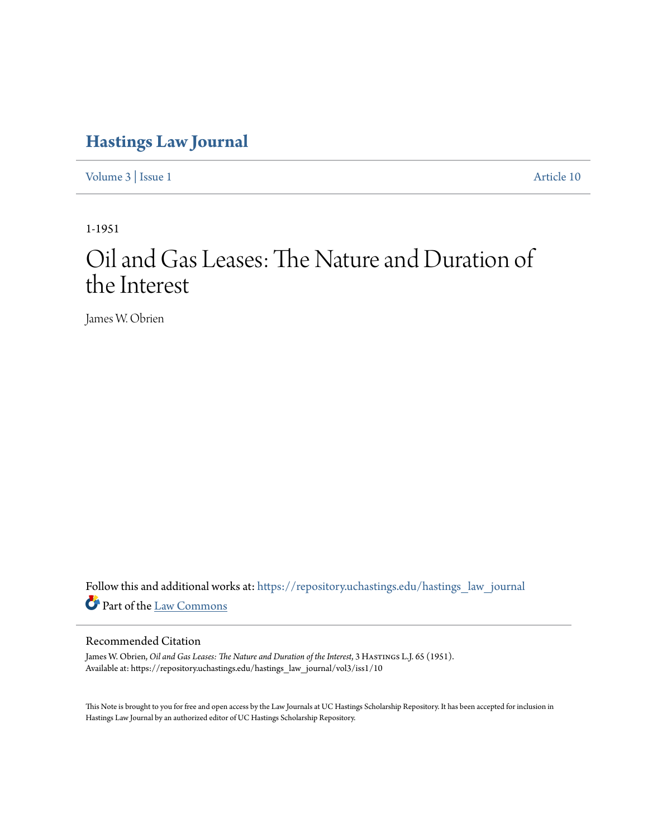## **[Hastings Law Journal](https://repository.uchastings.edu/hastings_law_journal?utm_source=repository.uchastings.edu%2Fhastings_law_journal%2Fvol3%2Fiss1%2F10&utm_medium=PDF&utm_campaign=PDFCoverPages)**

[Volume 3](https://repository.uchastings.edu/hastings_law_journal/vol3?utm_source=repository.uchastings.edu%2Fhastings_law_journal%2Fvol3%2Fiss1%2F10&utm_medium=PDF&utm_campaign=PDFCoverPages) | [Issue 1](https://repository.uchastings.edu/hastings_law_journal/vol3/iss1?utm_source=repository.uchastings.edu%2Fhastings_law_journal%2Fvol3%2Fiss1%2F10&utm_medium=PDF&utm_campaign=PDFCoverPages) [Article 10](https://repository.uchastings.edu/hastings_law_journal/vol3/iss1/10?utm_source=repository.uchastings.edu%2Fhastings_law_journal%2Fvol3%2Fiss1%2F10&utm_medium=PDF&utm_campaign=PDFCoverPages)

1-1951

## Oil and Gas Leases: The Nature and Duration of the Interest

James W. Obrien

Follow this and additional works at: [https://repository.uchastings.edu/hastings\\_law\\_journal](https://repository.uchastings.edu/hastings_law_journal?utm_source=repository.uchastings.edu%2Fhastings_law_journal%2Fvol3%2Fiss1%2F10&utm_medium=PDF&utm_campaign=PDFCoverPages) Part of the [Law Commons](http://network.bepress.com/hgg/discipline/578?utm_source=repository.uchastings.edu%2Fhastings_law_journal%2Fvol3%2Fiss1%2F10&utm_medium=PDF&utm_campaign=PDFCoverPages)

## Recommended Citation

James W. Obrien, *Oil and Gas Leases: The Nature and Duration of the Interest*, 3 HASTINGS L.J. 65 (1951). Available at: https://repository.uchastings.edu/hastings\_law\_journal/vol3/iss1/10

This Note is brought to you for free and open access by the Law Journals at UC Hastings Scholarship Repository. It has been accepted for inclusion in Hastings Law Journal by an authorized editor of UC Hastings Scholarship Repository.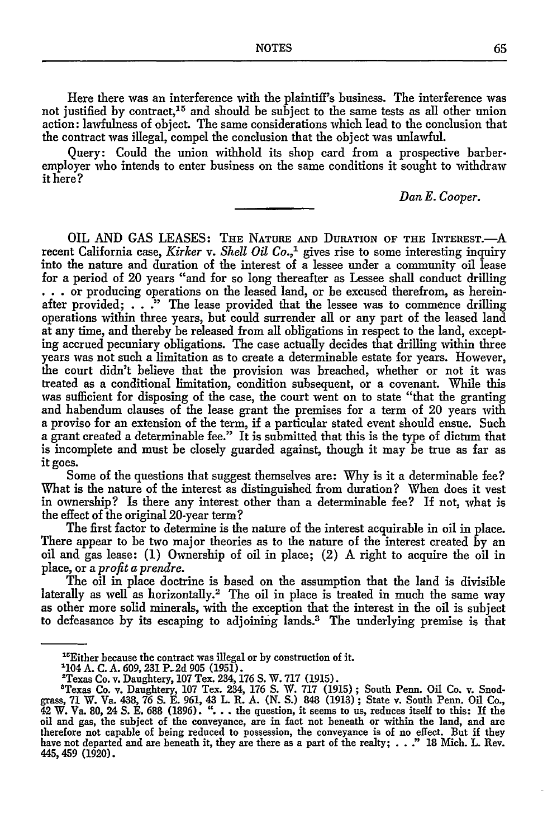Here there was an interference with the plaintiff's business. The interference was not justified by contract,<sup>15</sup> and should be subject to the same tests as all other union action: lawfulness of object. The same considerations which lead to the conclusion that the contract was illegal, compel the conclusion that the object was unlawful.

Query: Could the union withhold its shop card from a prospective barberemployer who intends to enter business on the same conditions it sought to withdraw it here?

*Dan E. Cooper.*

OIL **AND** GAS LEASES: **THE NATURE AND DURATION** OF **THE** INTEREST.-A recent California case, *Kirker v. Shell Oil Co.,'* gives rise to some interesting inquiry into the nature and duration of the interest of a lessee under a community oil lease for a period of 20 years "and for so long thereafter as Lessee shall conduct drilling **...** or producing operations on the leased land, or be excused therefrom, as hereinafter provided;  $\ldots$  ." The lease provided that the lessee was to commence drilling operations within three years, but could surrender all or any part of the leased land at any time, and thereby be released from all obligations in respect to the land, excepting accrued pecuniary obligations. The case actually decides that drilling within three years was not such a limitation as to create a determinable estate for years. However, the court didn't believe that the provision was breached, whether or not it was treated as a conditional limitation, condition subsequent, or a covenant. While this was sufficient for disposing of the case, the court went on to state "that the granting and habendum clauses of the lease grant the premises for a term of 20 years with a proviso for an extension of the term, if a particular stated event should ensue. Such a grant created a determinable fee." It is submitted that this is the type of dictum that is incomplete and must be closely guarded against, though it may be true as far as it goes.

Some of the questions that suggest themselves are: Why is it a determinable fee? What is the nature of the interest as distinguished from duration? When does it vest in ownership? Is there any interest other than a determinable fee? If not, what is the effect of the original 20-year term?

The first factor to determine is the nature of the interest acquirable in oil in place. There appear to be two major theories as to the nature of the interest created by an oil and gas lease: (1) Ownership of oil in place; (2) A right to acquire the oil in place, or a *profit a prendre.*

The oil in place doctrine is based on the assumption that the land is divisible laterally as well as horizontally.<sup>2</sup> The oil in place is treated in much the same way as other more solid minerals, with the exception that the interest in the oil is subject to defeasance by its escaping to adjoining lands. 3 The underlying premise is that

5

<sup>&</sup>quot; Either because the contract was illegal or **by** construction of **it.**

<sup>1104</sup> **A. C.** A. *609,* **231 P-2d 905 (1951).**

<sup>&#</sup>x27;Texas Co. v. Daughtery, **107** Tex. **234, 176 S.** W. **717 (1915).** 'Texas Co. v. Daughtery, **107** Tex. 234, **176 S.** W. **717 (1915);** South Penn. Oil Co. v. Snodgrass, 71 W. Va. 438, 76 S. E. 961, 43 L. R. A. (N. S.) 848 (1913); State v. South Penn. Oil Co., 42 W. Va. 80, 24 S. E. 688 (1896). ". . . the question, it seems to us, reduces itself to this: If the oil and gas, the subject of the conveyance, are in fact not beneath or within the land, and are therefore not capable of being reduced to possession, the conveyance is of no effect. But if they have not departed and are beneath it, they are there as a part of the realty; . .*."* 18 Mich. L. Rev. **445, 459 (1920).**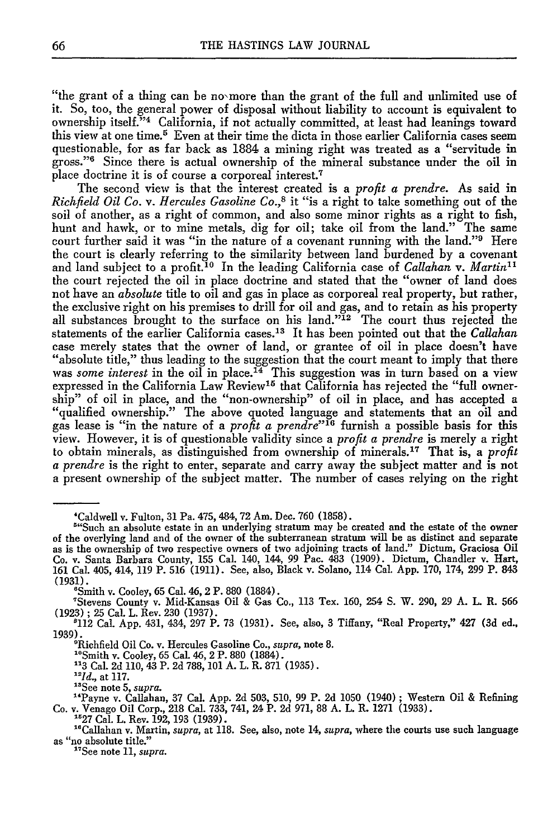"the grant of a thing can be no more than the grant of the full and unlimited use of **it.** So, too, the general power of disposal without liability to account is equivalent to ownership itself."<sup>4</sup> California, if not actually committed, at least had leanings toward this view at one time.<sup>5</sup> Even at their time the dicta in those earlier California cases seem questionable, for as far back as **1884** a mining right was treated as a "servitude in gross."6 Since there is actual ownership of the mineral substance under the oil in place doctrine it is of course a corporeal interest.<sup>7</sup>

The second view is that the interest created is a *profit a prendre.* As said in *Richfield Oil Co. v. Hercules Gasoline Co.,8* it "is a right to take something out of the soil of another, as a right of common, and also some minor rights as a right to fish, hunt and hawk, or to mine metals, dig for oil; take oil from the land." The same court further said it was "in the nature of a covenant running with the land."<sup>9</sup> Here the court is clearly referring to the similarity between land burdened **by** a covenant and land subject to a profit.<sup>10</sup> In the leading California case of *Callahan v. Martin*<sup>11</sup> the court rejected the oil in place doctrine and stated that the "owner of land does not have an *absolute* title to oil and gas in place as corporeal real property, but rather, the exclusive right on his premises to drill for oil and gas, and to retain as his property all substances brought to the surface on his land."<sup>12</sup> The court thus rejected the statements of the earlier California cases.13 It has been pointed out that the *Callahan* case merely states that the owner of land, or grantee of oil in place doesn't have "absolute title," thus leading to the suggestion that the court meant to imply that there was *some interest* in the oil in place.<sup> $I<sub>4</sub>$  This suggestion was in turn based on a view</sup> expressed in the California Law Review<sup>15</sup> that California has rejected the "full ownership" of oil in place, and the "non-ownership" of oil in place, and has accepted a "qualified ownership." The above quoted language and statements that an oil and gas lease is "in the nature of a *profit a prendre"'6* furnish a possible basis for this view. However, it is of questionable validity since a *profit a prendre* is merely a right to obtain minerals, as distinguished from ownership of minerals. 17 That is, a *profit a prendre* is the right to enter, separate and carry away the subject matter and is not **a** present ownership of the subject matter. The number of cases relying on the right

'112 Cal. **App.** 431, 434, **297** P. **73 (1931).** See, also, **3** Tiffany, "Real Property," 427 **(3d** ed., **1939).**'Richfield Oil Co. v. Hercules Gasoline Co., *supra,* note **8.**

- **"l3** Cal. **2d 110,** 43 P. **2d 788, 101 A.** L. R. **871 (1935).**
- *"Id.,* at **117.**
- "See note **5,** *supra.*

<sup>&#</sup>x27;Caldwell v. Fulton, **31** Pa. 475, 484, **72** Am. Dec. **760 (1858).** <sup>54</sup>Such an absolute estate in an underlying stratum may be created and the estate of the owner of the overlying land and of the owner of the subterranean stratum will be as distinct and separate as is the ownership of two Co. v. Santa Barbara County, 155 Cal. 140, 144, 99 Pac. 483 (1909). Dictum, Chandler v. Hart.<br>161 Cal. 405, 414, 119 P. 516 (1911). See, also, Black v. Solano, 114 Cal. App. 170, 174, 299 P. 843 **(1931).**

<sup>&#</sup>x27;Smith v. Cooley, **65** Cal. 46, 2 P. **880 (1884).**

<sup>&</sup>quot;Stevens County v. Mid-Kansas Oil **&** Gas Co., **113** Tex. **160,** 254 **S.** W. **290, 29 A.** L R. **566 (1923) ; 25** Cal. L. Rev. **230 (1937).**

<sup>&</sup>quot;Smith v. Cooley, **65** Cal. 46, 2 P. **880** (1884).

<sup>&</sup>quot;Payne v. Callahan, **37** Cal. **App. 2d 503, 510, 99** P. **2d 1050** (1940) **;** Western Oil **&** Refining Co. v. Venago Oil Corp., **218** Cal. **733,** 741, 24 P. **2d 971, 88 A.** L. R. **1271 (1933).**

<sup>&</sup>lt;sup>15</sup>27 Cal. L. Rev. 192, 193 (1939).<br><sup>16</sup>Callahan v. Martin, *supra*, at 118. See, also, note 14, *supra*, where the courts use such language<br>as "no absolute title."<br><sup>17</sup>See note 11, *supra*.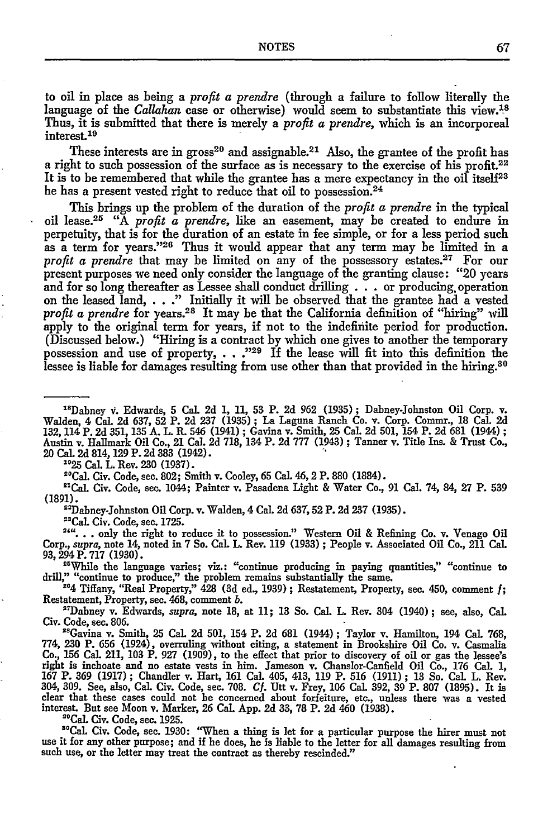to oil in place as being a *profit a prendre* (through a failure to follow literally the language of the *Callahan* case or otherwise) would seem to substantiate this view.<sup>18</sup> Thus, it is submitted that there is merely a *profit a prendre,* which is an incorporeal interest.<sup>19</sup>

These interests are in gross<sup>20</sup> and assignable.<sup>21</sup> Also, the grantee of the profit has a right to such possession of the surface as is necessary to the exercise of his profit.<sup>22</sup> It is to be remembered that while the grantee has a mere expectancy in the oil itself<sup>23</sup> he has a present vested right to reduce that oil to possession.<sup>24</sup>

This brings up the problem of the duration of the *profit a prendre* in the typical oil lease.2 5 "A *profit a prendre,* like an easement, may be created to endure in perpetuity, that is for the duration of an estate in fee simple, or for a less period such as a term for years."26 Thus it would appear that any term may be limited in a profit a prendre that may be limited on any of the possessory estates.<sup>27</sup> For our present purposes we need only consider the language of the granting clause: "20 years and for so long thereafter as Lessee shall conduct drilling  $\ldots$  or producing operation on the leased land, . . ." Initially it will be observed that the grantee had a vested *profit a prendre* for years.<sup>28</sup> It may be that the California definition of "hiring" will apply to the original term for years, if not to the indefinite period for production. (Discussed below.) "Hiring is a contract by which one gives to another the temporary possession and use of property, . . .<sup>1929</sup> If the lease will fit into this definition the lessee is liable for damages resulting from use other than that provided in the hiring.<sup>30</sup>

"Dabney v. Edwards, 5 Cal. 2d 1, 11, 53 P. 2d 962 (1935); Dabney-Johnston Oil Corp. v. Walden, 4 Cal. 2d 637, 52 P. 2d 237 (1935) ; La Laguna Ranch Co. v. Corp. Commr., 18 Cal. 2d 132, 114 P. 2d 351, 135 A. L. R. 546 (1941) ; Gavina v. Smith, 25 Cal. 2d 501, 154 P. 2d 681 (1944) **;** Austin v. Hallmark Oil Co., 21 Cal. 2d 718, 134 P. 2d 777 (1943) ; Tanner v. Title Ins. & Trust Co., 20 Cal 2d 814,129 P. 2d 383 (1942). **2'25** CaL L. Rev. 230 (1937).

"Cal. Civ. Code, see. 802; Smith v. Cooley, 65 Cal. 46,2 P. 880 (1884).

"'Cal. Civ. Code, see. 1044; Painter v. Pasadena Light & Water Co., 91 Cal. 74, 84, 27 P. 539 (1891).

"Dabney-Johnston Oil Corp. v. Walden, 4 Cal. 2d **637, 52** P. 2d **237** (1935).

<sup>23</sup>Cal. Civ. Code, sec. 1725.

**...** only the right to reduce it to possession." Western Oil **&** Refining Co. v. Venago Oil Corp., *supra,* note 14, noted in 7 So. **Cal.** L. Rev. 119 (1933) ; People v. Associated Oil Co., 211 Cal. 93, 294 P. 717 (1930).

"While the language varies; viz.: "continue producing in paying quantities," "continue to drill," "continue to produce," the problem remains substantially the same.

**-54** Tiffany, "Real Property," 428 **(3d** ed., **1939) ;** Restatement, Property, sec. 450, comment **f;** Restatement, Property, sec. 468, comment *b.*

"'Dabney v. Edwards, *supra,* note **18,** at **11;** 13 So. Cal. L. Rev. 304 (1940) **;** see, also, Cal. Civ. Code, sec. **806.**

"Gavina v. Smith, **25** Cal. **2d 501,** 154 P. **2d** 681 (1944); Taylor v. Hamilton, 194 Cal. **768, 774, 230** P. **656** (1924), overruling without citing, a statement in Brookshire Oil Co. v. Casmalia Co., **156** Cal. 211, **103** P. **927 (1909),** to the effect that prior to discovery of oil or gas the lessee's right is inchoate and no estate vests in him. Jameson v. Chanslor-Canfield Oil Co., **176** Cal. **1,** 167 P. 369 (1917); Chandler v. Hart, 161 Cal. 405, 413, 119 P. 516 (1911); 13 So. Cal. L. Rev.<br>304, 309. See, also, Cal. Civ. Code, sec. 708. Cf. Utt v. Frey, 106 Cal. 392, 39 P. 807 (1895). It is clear that these cases could not **be** concerned about forfeiture, etc., unless there was a vested interest. But see Moon **v.** Marker, **26** Cal. **App. 2d 33, 78** P. **2d** 460 **(1938).**

"Cal. Civ. Code, sec. **1925.**

out: Chr. Code, sec. 1925.<br>"Cal. Civ. Code, sec. 1930: "When a thing is let for a particular purpose the hirer must not use it for any other purpose; and if he does, he is liable to the letter for all damages resulting from such use, or the letter may treat the contract as thereby rescinded."